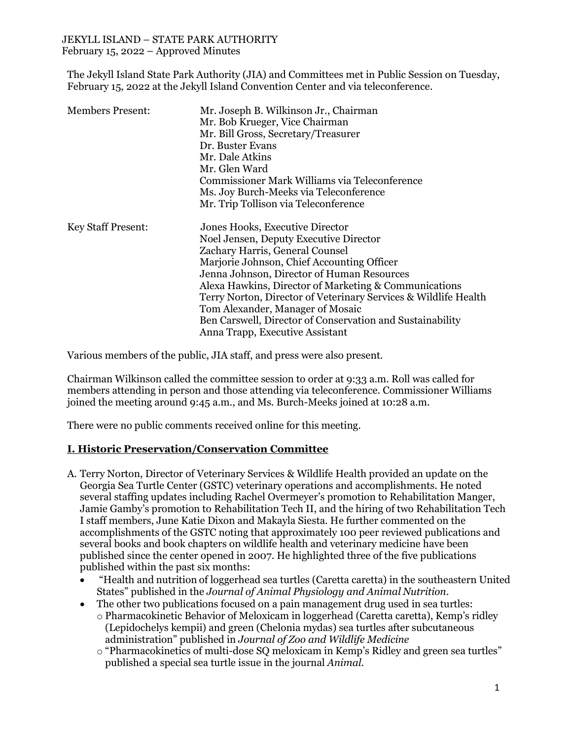The Jekyll Island State Park Authority (JIA) and Committees met in Public Session on Tuesday, February 15, 2022 at the Jekyll Island Convention Center and via teleconference.

| <b>Members Present:</b>   | Mr. Joseph B. Wilkinson Jr., Chairman<br>Mr. Bob Krueger, Vice Chairman<br>Mr. Bill Gross, Secretary/Treasurer<br>Dr. Buster Evans<br>Mr. Dale Atkins<br>Mr. Glen Ward                                                                                                                                                                                                                                                                                                   |
|---------------------------|--------------------------------------------------------------------------------------------------------------------------------------------------------------------------------------------------------------------------------------------------------------------------------------------------------------------------------------------------------------------------------------------------------------------------------------------------------------------------|
|                           | Commissioner Mark Williams via Teleconference<br>Ms. Joy Burch-Meeks via Teleconference<br>Mr. Trip Tollison via Teleconference                                                                                                                                                                                                                                                                                                                                          |
| <b>Key Staff Present:</b> | Jones Hooks, Executive Director<br>Noel Jensen, Deputy Executive Director<br>Zachary Harris, General Counsel<br>Marjorie Johnson, Chief Accounting Officer<br>Jenna Johnson, Director of Human Resources<br>Alexa Hawkins, Director of Marketing & Communications<br>Terry Norton, Director of Veterinary Services & Wildlife Health<br>Tom Alexander, Manager of Mosaic<br>Ben Carswell, Director of Conservation and Sustainability<br>Anna Trapp, Executive Assistant |

Various members of the public, JIA staff, and press were also present.

Chairman Wilkinson called the committee session to order at 9:33 a.m. Roll was called for members attending in person and those attending via teleconference. Commissioner Williams joined the meeting around 9:45 a.m., and Ms. Burch-Meeks joined at 10:28 a.m.

There were no public comments received online for this meeting.

## **I. Historic Preservation/Conservation Committee**

- A. Terry Norton, Director of Veterinary Services & Wildlife Health provided an update on the Georgia Sea Turtle Center (GSTC) veterinary operations and accomplishments. He noted several staffing updates including Rachel Overmeyer's promotion to Rehabilitation Manger, Jamie Gamby's promotion to Rehabilitation Tech II, and the hiring of two Rehabilitation Tech I staff members, June Katie Dixon and Makayla Siesta. He further commented on the accomplishments of the GSTC noting that approximately 100 peer reviewed publications and several books and book chapters on wildlife health and veterinary medicine have been published since the center opened in 2007. He highlighted three of the five publications published within the past six months:
	- "Health and nutrition of loggerhead sea turtles (Caretta caretta) in the southeastern United States" published in the *Journal of Animal Physiology and Animal Nutrition*.
	- The other two publications focused on a pain management drug used in sea turtles: o Pharmacokinetic Behavior of Meloxicam in loggerhead (Caretta caretta), Kemp's ridley (Lepidochelys kempii) and green (Chelonia mydas) sea turtles after subcutaneous administration" published in *Journal of Zoo and Wildlife Medicine*
		- o "Pharmacokinetics of multi-dose SQ meloxicam in Kemp's Ridley and green sea turtles" published a special sea turtle issue in the journal *Animal.*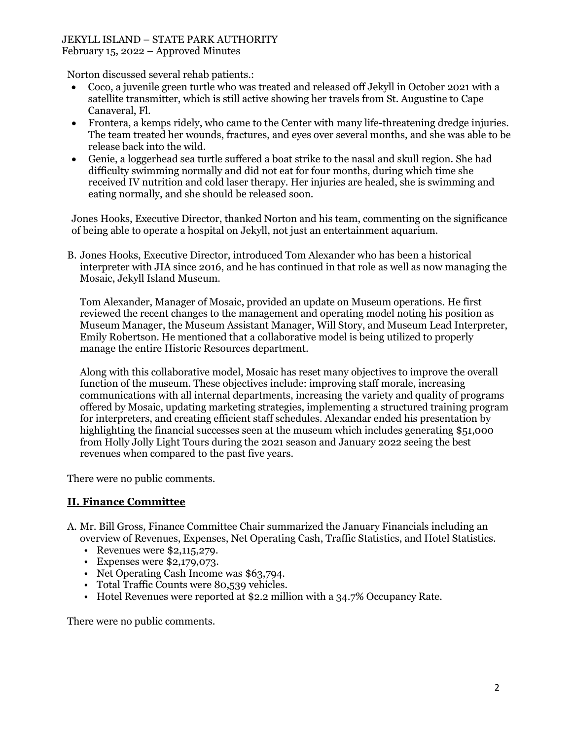## JEKYLL ISLAND – STATE PARK AUTHORITY

#### February 15, 2022 – Approved Minutes

Norton discussed several rehab patients.:

- Coco, a juvenile green turtle who was treated and released off Jekyll in October 2021 with a satellite transmitter, which is still active showing her travels from St. Augustine to Cape Canaveral, Fl.
- Frontera, a kemps ridely, who came to the Center with many life-threatening dredge injuries. The team treated her wounds, fractures, and eyes over several months, and she was able to be release back into the wild.
- Genie, a loggerhead sea turtle suffered a boat strike to the nasal and skull region. She had difficulty swimming normally and did not eat for four months, during which time she received IV nutrition and cold laser therapy. Her injuries are healed, she is swimming and eating normally, and she should be released soon.

Jones Hooks, Executive Director, thanked Norton and his team, commenting on the significance of being able to operate a hospital on Jekyll, not just an entertainment aquarium.

B. Jones Hooks, Executive Director, introduced Tom Alexander who has been a historical interpreter with JIA since 2016, and he has continued in that role as well as now managing the Mosaic, Jekyll Island Museum.

Tom Alexander, Manager of Mosaic, provided an update on Museum operations. He first reviewed the recent changes to the management and operating model noting his position as Museum Manager, the Museum Assistant Manager, Will Story, and Museum Lead Interpreter, Emily Robertson. He mentioned that a collaborative model is being utilized to properly manage the entire Historic Resources department.

Along with this collaborative model, Mosaic has reset many objectives to improve the overall function of the museum. These objectives include: improving staff morale, increasing communications with all internal departments, increasing the variety and quality of programs offered by Mosaic, updating marketing strategies, implementing a structured training program for interpreters, and creating efficient staff schedules. Alexandar ended his presentation by highlighting the financial successes seen at the museum which includes generating \$51,000 from Holly Jolly Light Tours during the 2021 season and January 2022 seeing the best revenues when compared to the past five years.

There were no public comments.

## **II. Finance Committee**

- A. Mr. Bill Gross, Finance Committee Chair summarized the January Financials including an overview of Revenues, Expenses, Net Operating Cash, Traffic Statistics, and Hotel Statistics.
	- Revenues were \$2,115,279.
	- Expenses were \$2,179,073.
	- Net Operating Cash Income was \$63,794.
	- Total Traffic Counts were 80,539 vehicles.
	- Hotel Revenues were reported at \$2.2 million with a 34.7% Occupancy Rate.

There were no public comments.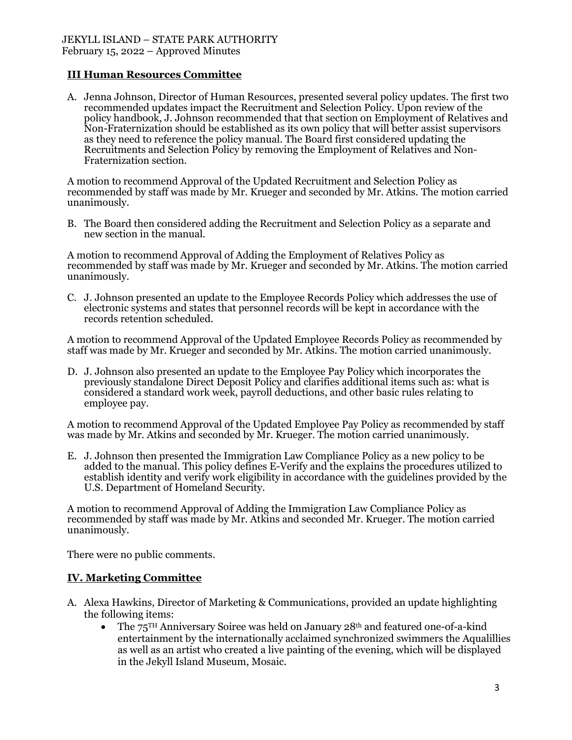#### JEKYLL ISLAND – STATE PARK AUTHORITY February 15, 2022 – Approved Minutes

#### **III Human Resources Committee**

A. Jenna Johnson, Director of Human Resources, presented several policy updates. The first two recommended updates impact the Recruitment and Selection Policy. Upon review of the policy handbook, J. Johnson recommended that that section on Employment of Relatives and Non-Fraternization should be established as its own policy that will better assist supervisors as they need to reference the policy manual. The Board first considered updating the Recruitments and Selection Policy by removing the Employment of Relatives and Non-Fraternization section.

A motion to recommend Approval of the Updated Recruitment and Selection Policy as recommended by staff was made by Mr. Krueger and seconded by Mr. Atkins. The motion carried unanimously.

B. The Board then considered adding the Recruitment and Selection Policy as a separate and new section in the manual.

A motion to recommend Approval of Adding the Employment of Relatives Policy as recommended by staff was made by Mr. Krueger and seconded by Mr. Atkins. The motion carried unanimously.

C. J. Johnson presented an update to the Employee Records Policy which addresses the use of electronic systems and states that personnel records will be kept in accordance with the records retention scheduled.

A motion to recommend Approval of the Updated Employee Records Policy as recommended by staff was made by Mr. Krueger and seconded by Mr. Atkins. The motion carried unanimously.

D. J. Johnson also presented an update to the Employee Pay Policy which incorporates the previously standalone Direct Deposit Policy and clarifies additional items such as: what is considered a standard work week, payroll deductions, and other basic rules relating to employee pay.

A motion to recommend Approval of the Updated Employee Pay Policy as recommended by staff was made by Mr. Atkins and seconded by Mr. Krueger. The motion carried unanimously.

E. J. Johnson then presented the Immigration Law Compliance Policy as a new policy to be added to the manual. This policy defines E-Verify and the explains the procedures utilized to establish identity and verify work eligibility in accordance with the guidelines provided by the U.S. Department of Homeland Security.

A motion to recommend Approval of Adding the Immigration Law Compliance Policy as recommended by staff was made by Mr. Atkins and seconded Mr. Krueger. The motion carried unanimously.

There were no public comments.

## **IV. Marketing Committee**

- A. Alexa Hawkins, Director of Marketing & Communications, provided an update highlighting the following items:
	- The  $75^{\text{TH}}$  Anniversary Soiree was held on January  $28^{\text{th}}$  and featured one-of-a-kind entertainment by the internationally acclaimed synchronized swimmers the Aqualillies as well as an artist who created a live painting of the evening, which will be displayed in the Jekyll Island Museum, Mosaic.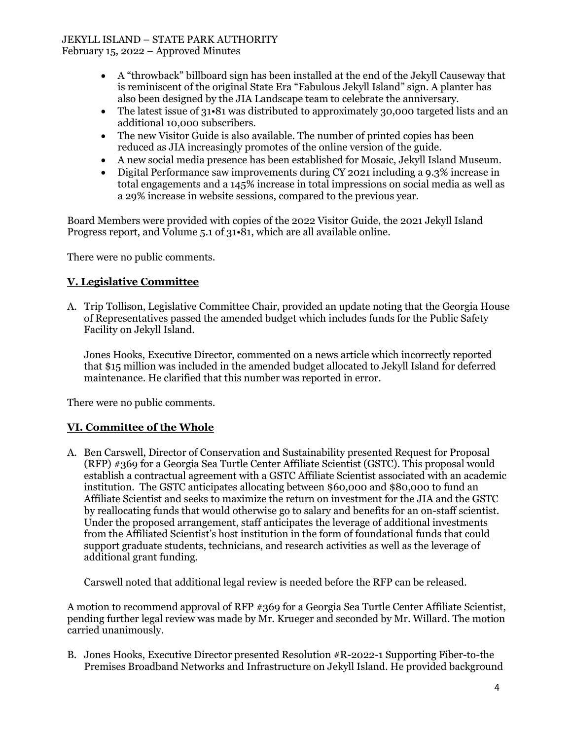# JEKYLL ISLAND – STATE PARK AUTHORITY

February 15, 2022 – Approved Minutes

- A "throwback" billboard sign has been installed at the end of the Jekyll Causeway that is reminiscent of the original State Era "Fabulous Jekyll Island" sign. A planter has also been designed by the JIA Landscape team to celebrate the anniversary.
- The latest issue of 31.81 was distributed to approximately 30,000 targeted lists and an additional 10,000 subscribers.
- The new Visitor Guide is also available. The number of printed copies has been reduced as JIA increasingly promotes of the online version of the guide.
- A new social media presence has been established for Mosaic, Jekyll Island Museum.
- Digital Performance saw improvements during CY 2021 including a 9.3% increase in total engagements and a 145% increase in total impressions on social media as well as a 29% increase in website sessions, compared to the previous year.

Board Members were provided with copies of the 2022 Visitor Guide, the 2021 Jekyll Island Progress report, and Volume  $5.1$  of  $31\cdot\overline{8}1$ , which are all available online.

There were no public comments.

## **V. Legislative Committee**

A. Trip Tollison, Legislative Committee Chair, provided an update noting that the Georgia House of Representatives passed the amended budget which includes funds for the Public Safety Facility on Jekyll Island.

Jones Hooks, Executive Director, commented on a news article which incorrectly reported that \$15 million was included in the amended budget allocated to Jekyll Island for deferred maintenance. He clarified that this number was reported in error.

There were no public comments.

## **VI. Committee of the Whole**

A. Ben Carswell, Director of Conservation and Sustainability presented Request for Proposal (RFP) #369 for a Georgia Sea Turtle Center Affiliate Scientist (GSTC). This proposal would establish a contractual agreement with a GSTC Affiliate Scientist associated with an academic institution. The GSTC anticipates allocating between \$60,000 and \$80,000 to fund an Affiliate Scientist and seeks to maximize the return on investment for the JIA and the GSTC by reallocating funds that would otherwise go to salary and benefits for an on-staff scientist. Under the proposed arrangement, staff anticipates the leverage of additional investments from the Affiliated Scientist's host institution in the form of foundational funds that could support graduate students, technicians, and research activities as well as the leverage of additional grant funding.

Carswell noted that additional legal review is needed before the RFP can be released.

A motion to recommend approval of RFP #369 for a Georgia Sea Turtle Center Affiliate Scientist, pending further legal review was made by Mr. Krueger and seconded by Mr. Willard. The motion carried unanimously.

B. Jones Hooks, Executive Director presented Resolution #R-2022-1 Supporting Fiber-to-the Premises Broadband Networks and Infrastructure on Jekyll Island. He provided background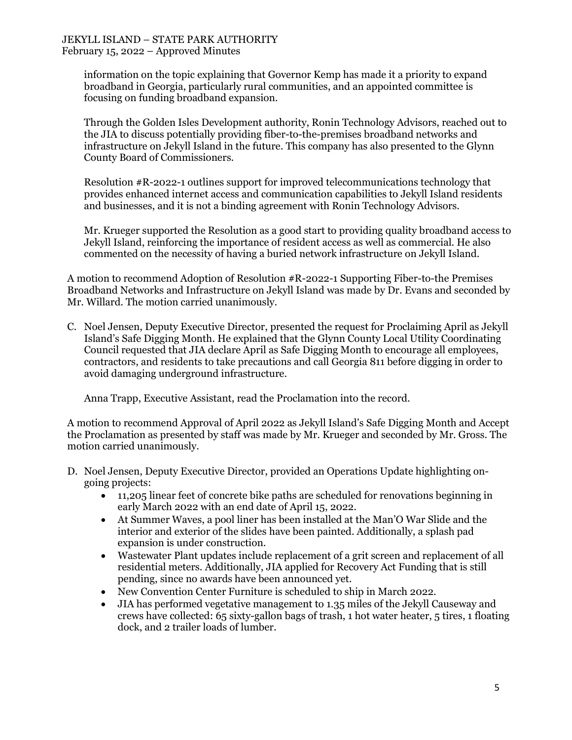#### JEKYLL ISLAND – STATE PARK AUTHORITY February 15, 2022 – Approved Minutes

information on the topic explaining that Governor Kemp has made it a priority to expand broadband in Georgia, particularly rural communities, and an appointed committee is focusing on funding broadband expansion.

Through the Golden Isles Development authority, Ronin Technology Advisors, reached out to the JIA to discuss potentially providing fiber-to-the-premises broadband networks and infrastructure on Jekyll Island in the future. This company has also presented to the Glynn County Board of Commissioners.

Resolution #R-2022-1 outlines support for improved telecommunications technology that provides enhanced internet access and communication capabilities to Jekyll Island residents and businesses, and it is not a binding agreement with Ronin Technology Advisors.

Mr. Krueger supported the Resolution as a good start to providing quality broadband access to Jekyll Island, reinforcing the importance of resident access as well as commercial. He also commented on the necessity of having a buried network infrastructure on Jekyll Island.

A motion to recommend Adoption of Resolution #R-2022-1 Supporting Fiber-to-the Premises Broadband Networks and Infrastructure on Jekyll Island was made by Dr. Evans and seconded by Mr. Willard. The motion carried unanimously.

C. Noel Jensen, Deputy Executive Director, presented the request for Proclaiming April as Jekyll Island's Safe Digging Month. He explained that the Glynn County Local Utility Coordinating Council requested that JIA declare April as Safe Digging Month to encourage all employees, contractors, and residents to take precautions and call Georgia 811 before digging in order to avoid damaging underground infrastructure.

Anna Trapp, Executive Assistant, read the Proclamation into the record.

A motion to recommend Approval of April 2022 as Jekyll Island's Safe Digging Month and Accept the Proclamation as presented by staff was made by Mr. Krueger and seconded by Mr. Gross. The motion carried unanimously.

- D. Noel Jensen, Deputy Executive Director, provided an Operations Update highlighting ongoing projects:
	- 11,205 linear feet of concrete bike paths are scheduled for renovations beginning in early March 2022 with an end date of April 15, 2022.
	- At Summer Waves, a pool liner has been installed at the Man'O War Slide and the interior and exterior of the slides have been painted. Additionally, a splash pad expansion is under construction.
	- Wastewater Plant updates include replacement of a grit screen and replacement of all residential meters. Additionally, JIA applied for Recovery Act Funding that is still pending, since no awards have been announced yet.
	- New Convention Center Furniture is scheduled to ship in March 2022.
	- JIA has performed vegetative management to 1.35 miles of the Jekyll Causeway and crews have collected: 65 sixty-gallon bags of trash, 1 hot water heater, 5 tires, 1 floating dock, and 2 trailer loads of lumber.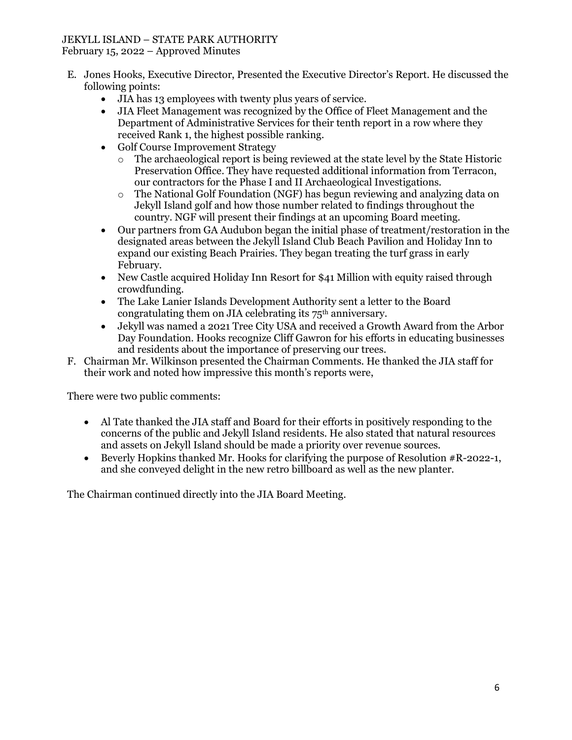#### JEKYLL ISLAND – STATE PARK AUTHORITY

February 15, 2022 – Approved Minutes

- E. Jones Hooks, Executive Director, Presented the Executive Director's Report. He discussed the following points:
	- JIA has 13 employees with twenty plus years of service.
	- JIA Fleet Management was recognized by the Office of Fleet Management and the Department of Administrative Services for their tenth report in a row where they received Rank 1, the highest possible ranking.
	- Golf Course Improvement Strategy
		- o The archaeological report is being reviewed at the state level by the State Historic Preservation Office. They have requested additional information from Terracon, our contractors for the Phase I and II Archaeological Investigations.
		- o The National Golf Foundation (NGF) has begun reviewing and analyzing data on Jekyll Island golf and how those number related to findings throughout the country. NGF will present their findings at an upcoming Board meeting.
	- Our partners from GA Audubon began the initial phase of treatment/restoration in the designated areas between the Jekyll Island Club Beach Pavilion and Holiday Inn to expand our existing Beach Prairies. They began treating the turf grass in early February.
	- New Castle acquired Holiday Inn Resort for \$41 Million with equity raised through crowdfunding.
	- The Lake Lanier Islands Development Authority sent a letter to the Board congratulating them on JIA celebrating its 75th anniversary.
	- Jekyll was named a 2021 Tree City USA and received a Growth Award from the Arbor Day Foundation. Hooks recognize Cliff Gawron for his efforts in educating businesses and residents about the importance of preserving our trees.
- F. Chairman Mr. Wilkinson presented the Chairman Comments. He thanked the JIA staff for their work and noted how impressive this month's reports were,

There were two public comments:

- Al Tate thanked the JIA staff and Board for their efforts in positively responding to the concerns of the public and Jekyll Island residents. He also stated that natural resources and assets on Jekyll Island should be made a priority over revenue sources.
- Beverly Hopkins thanked Mr. Hooks for clarifying the purpose of Resolution #R-2022-1, and she conveyed delight in the new retro billboard as well as the new planter.

The Chairman continued directly into the JIA Board Meeting.